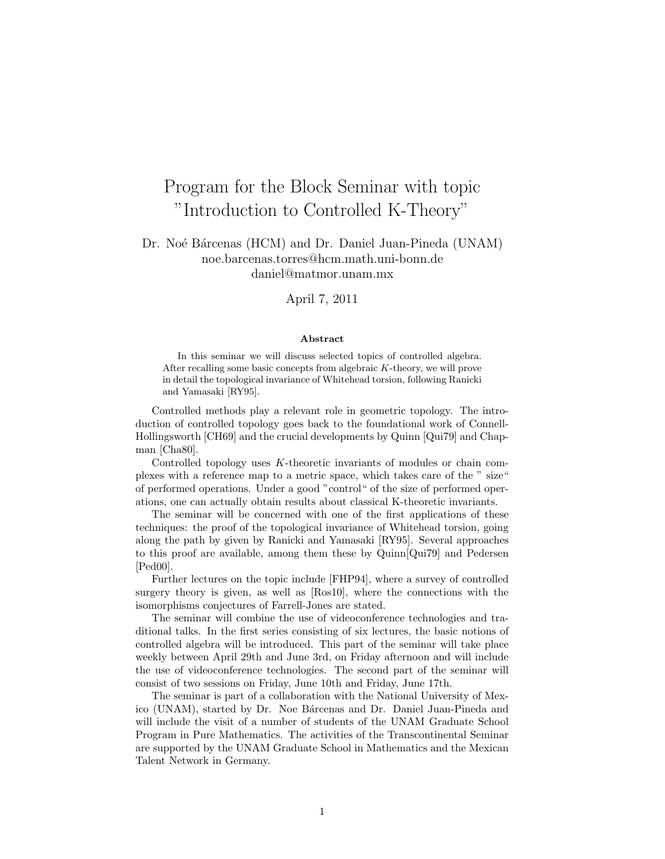## Program for the Block Seminar with topic "Introduction to Controlled K-Theory"

## Dr. Noé Bárcenas (HCM) and Dr. Daniel Juan-Pineda (UNAM) noe.barcenas.torres@hcm.math.uni-bonn.de daniel@matmor.unam.mx

April 7, 2011

## Abstract

In this seminar we will discuss selected topics of controlled algebra. After recalling some basic concepts from algebraic K-theory, we will prove in detail the topological invariance of Whitehead torsion, following Ranicki and Yamasaki [RY95].

Controlled methods play a relevant role in geometric topology. The introduction of controlled topology goes back to the foundational work of Connell-Hollingsworth [CH69] and the crucial developments by Quinn [Qui79] and Chapman [Cha80].

Controlled topology uses K-theoretic invariants of modules or chain complexes with a reference map to a metric space, which takes care of the " size" of performed operations. Under a good "control" of the size of performed operations, one can actually obtain results about classical K-theoretic invariants.

The seminar will be concerned with one of the first applications of these techniques: the proof of the topological invariance of Whitehead torsion, going along the path by given by Ranicki and Yamasaki [RY95]. Several approaches to this proof are available, among them these by Quinn[Qui79] and Pedersen [Ped00].

Further lectures on the topic include [FHP94], where a survey of controlled surgery theory is given, as well as [Ros10], where the connections with the isomorphisms conjectures of Farrell-Jones are stated.

The seminar will combine the use of videoconference technologies and traditional talks. In the first series consisting of six lectures, the basic notions of controlled algebra will be introduced. This part of the seminar will take place weekly between April 29th and June 3rd, on Friday afternoon and will include the use of videoconference technologies. The second part of the seminar will consist of two sessions on Friday, June 10th and Friday, June 17th.

The seminar is part of a collaboration with the National University of Mexico (UNAM), started by Dr. Noe Bárcenas and Dr. Daniel Juan-Pineda and will include the visit of a number of students of the UNAM Graduate School Program in Pure Mathematics. The activities of the Transcontinental Seminar are supported by the UNAM Graduate School in Mathematics and the Mexican Talent Network in Germany.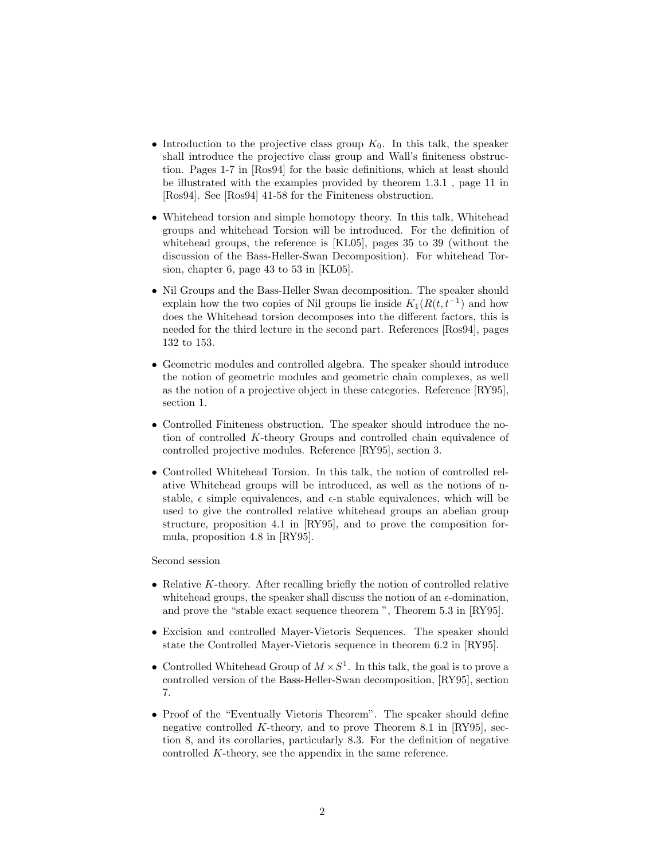- Introduction to the projective class group  $K_0$ . In this talk, the speaker shall introduce the projective class group and Wall's finiteness obstruction. Pages 1-7 in [Ros94] for the basic definitions, which at least should be illustrated with the examples provided by theorem 1.3.1 , page 11 in [Ros94]. See [Ros94] 41-58 for the Finiteness obstruction.
- Whitehead torsion and simple homotopy theory. In this talk, Whitehead groups and whitehead Torsion will be introduced. For the definition of whitehead groups, the reference is [KL05], pages 35 to 39 (without the discussion of the Bass-Heller-Swan Decomposition). For whitehead Torsion, chapter 6, page 43 to 53 in [KL05].
- Nil Groups and the Bass-Heller Swan decomposition. The speaker should explain how the two copies of Nil groups lie inside  $K_1(R(t,t^{-1})$  and how does the Whitehead torsion decomposes into the different factors, this is needed for the third lecture in the second part. References [Ros94], pages 132 to 153.
- Geometric modules and controlled algebra. The speaker should introduce the notion of geometric modules and geometric chain complexes, as well as the notion of a projective object in these categories. Reference [RY95], section 1.
- Controlled Finiteness obstruction. The speaker should introduce the notion of controlled K-theory Groups and controlled chain equivalence of controlled projective modules. Reference [RY95], section 3.
- Controlled Whitehead Torsion. In this talk, the notion of controlled relative Whitehead groups will be introduced, as well as the notions of nstable,  $\epsilon$  simple equivalences, and  $\epsilon$ -n stable equivalences, which will be used to give the controlled relative whitehead groups an abelian group structure, proposition 4.1 in [RY95], and to prove the composition formula, proposition 4.8 in [RY95].

Second session

- Relative  $K$ -theory. After recalling briefly the notion of controlled relative whitehead groups, the speaker shall discuss the notion of an  $\epsilon$ -domination, and prove the "stable exact sequence theorem ", Theorem 5.3 in [RY95].
- Excision and controlled Mayer-Vietoris Sequences. The speaker should state the Controlled Mayer-Vietoris sequence in theorem 6.2 in [RY95].
- Controlled Whitehead Group of  $M \times S^1$ . In this talk, the goal is to prove a controlled version of the Bass-Heller-Swan decomposition, [RY95], section 7.
- Proof of the "Eventually Vietoris Theorem". The speaker should define negative controlled K-theory, and to prove Theorem 8.1 in [RY95], section 8, and its corollaries, particularly 8.3. For the definition of negative controlled K-theory, see the appendix in the same reference.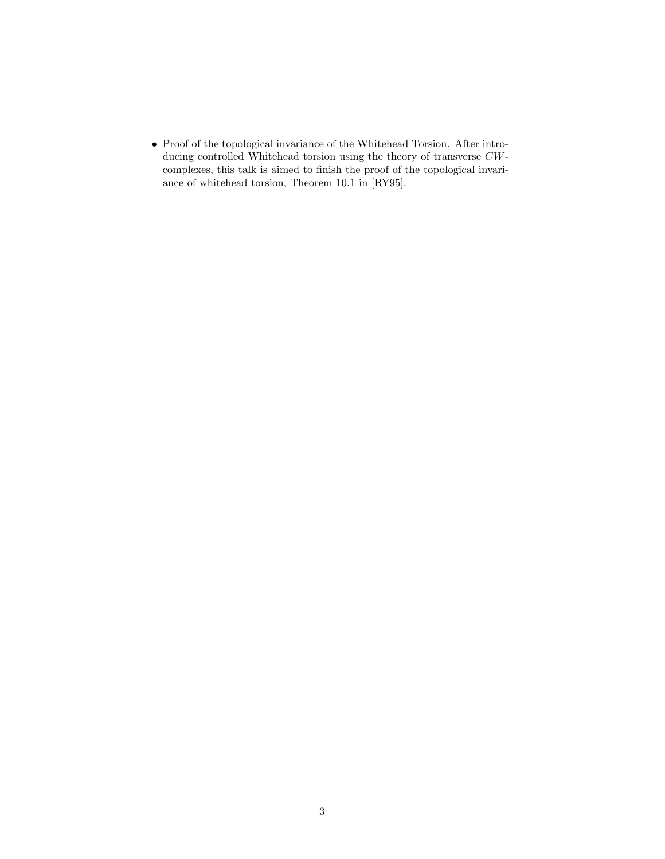• Proof of the topological invariance of the Whitehead Torsion. After introducing controlled Whitehead torsion using the theory of transverse CWcomplexes, this talk is aimed to finish the proof of the topological invariance of whitehead torsion, Theorem 10.1 in [RY95].